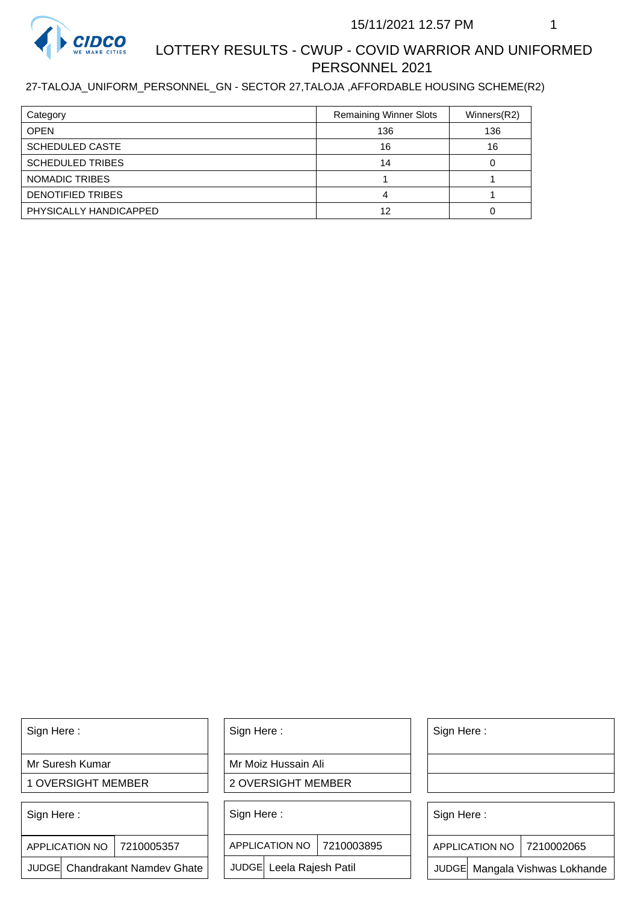

# LOTTERY RESULTS - CWUP - COVID WARRIOR AND UNIFORMED PERSONNEL 2021

### 27-TALOJA\_UNIFORM\_PERSONNEL\_GN - SECTOR 27,TALOJA ,AFFORDABLE HOUSING SCHEME(R2)

| Category                 | <b>Remaining Winner Slots</b> | Winners(R2) |
|--------------------------|-------------------------------|-------------|
| <b>OPEN</b>              | 136                           | 136         |
| <b>SCHEDULED CASTE</b>   | 16                            | 16          |
| <b>SCHEDULED TRIBES</b>  | 14                            |             |
| NOMADIC TRIBES           |                               |             |
| <b>DENOTIFIED TRIBES</b> |                               |             |
| PHYSICALLY HANDICAPPED   | 12                            |             |

Sign Here :

Mr Suresh Kumar

1 OVERSIGHT MEMBER

Sign Here :

7210005357 APPLICATION NO

JUDGE Chandrakant Namdev Ghate

Sign Here :

Mr Moiz Hussain Ali

2 OVERSIGHT MEMBER

Sign Here :

APPLICATION NO 7210003895

JUDGE Leela Rajesh Patil

Sign Here :

Sign Here :

APPLICATION NO | 7210002065

Chandrakant Namdev Ghate  $|\quad|$  JUDGE Leela Rajesh Patil  $|\quad|$  JUDGE Mangala Vishwas Lokhande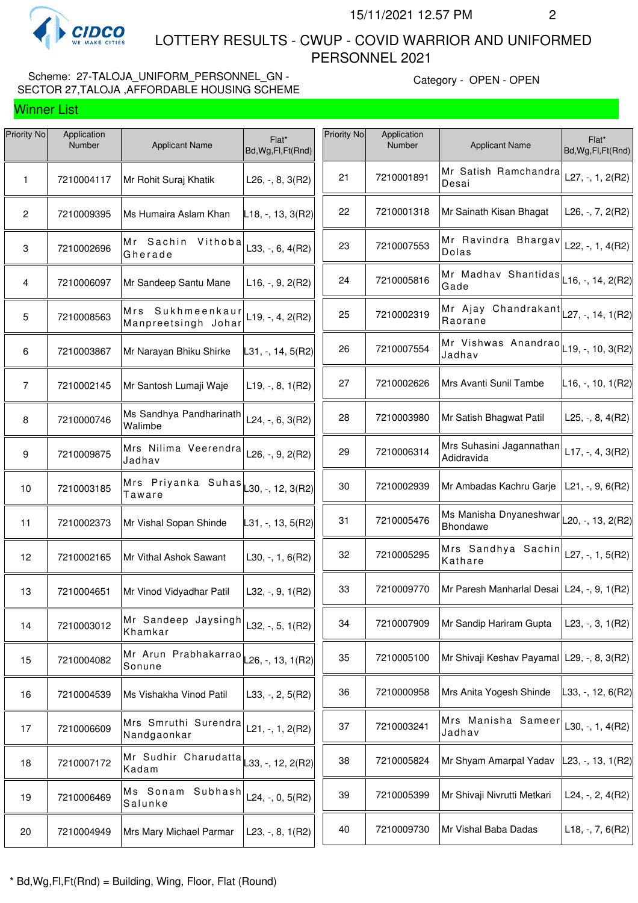

 LOTTERY RESULTS - CWUP - COVID WARRIOR AND UNIFORMED PERSONNEL 2021

# Scheme: 27-TALOJA\_UNIFORM\_PERSONNEL\_GN -SECTOR 27,TALOJA ,AFFORDABLE HOUSING SCHEME

| Priority No    | Application<br>Number | <b>Applicant Name</b>                   | Flat*<br>Bd, Wg, Fl, Ft (Rnd) | Priority No | Application<br>Number | <b>Applicant Name</b>                                   | Flat*<br>Bd, Wg, Fl, Ft (Rnd) |
|----------------|-----------------------|-----------------------------------------|-------------------------------|-------------|-----------------------|---------------------------------------------------------|-------------------------------|
| 1              | 7210004117            | Mr Rohit Suraj Khatik                   | L26, $-$ , 8, 3(R2)           | 21          | 7210001891            | Mr Satish Ramchandra<br>Desai                           | $L27, -, 1, 2(R2)$            |
| $\mathbf{2}$   | 7210009395            | Ms Humaira Aslam Khan                   | $L18, -13, 3(R2)$             | 22          | 7210001318            | Mr Sainath Kisan Bhagat                                 | L26, $-$ , 7, 2(R2)           |
| $\mathbf 3$    | 7210002696            | Mr Sachin Vithoba<br>Gherade            | L33, -, 6, 4(R2)              | 23          | 7210007553            | Mr Ravindra Bhargav<br>Dolas                            | L22, -, 1, $4(R2)$            |
| 4              | 7210006097            | Mr Sandeep Santu Mane                   | $L16, -, 9, 2(R2)$            | 24          | 7210005816            | Mr Madhav Shantidas<br>Gade                             | L16, -, 14, 2(R2)             |
| 5              | 7210008563            | Mrs Sukhmeenkaur<br>Manpreetsingh Johar | $L19, -, 4, 2(R2)$            | 25          | 7210002319            | Mr Ajay Chandrakant $\vert$ 27, -, 14, 1(R2)<br>Raorane |                               |
| 6              | 7210003867            | Mr Narayan Bhiku Shirke                 | L31, -, 14, 5(R2)             | 26          | 7210007554            | Mr Vishwas Anandrao $L$ 19, -, 10, 3(R2)<br>Jadhav      |                               |
| $\overline{7}$ | 7210002145            | Mr Santosh Lumaji Waje                  | $L19, -, 8, 1(R2)$            | 27          | 7210002626            | Mrs Avanti Sunil Tambe                                  | $L16, -110, 1(R2)$            |
| 8              | 7210000746            | Ms Sandhya Pandharinath<br>Walimbe      | L24, $-$ , 6, 3(R2)           | 28          | 7210003980            | Mr Satish Bhagwat Patil                                 | L25, $-$ , 8, 4(R2)           |
| 9              | 7210009875            | Mrs Nilima Veerendra<br>Jadhav          | $L26, -, 9, 2(R2)$            | 29          | 7210006314            | Mrs Suhasini Jagannathan<br>Adidravida                  | $L17, -, 4, 3(R2)$            |
| 10             | 7210003185            | Mrs Priyanka Suhas<br>Taware            | L30, -, 12, $3(R2)$           | 30          | 7210002939            | Mr Ambadas Kachru Garje                                 | $L21, -, 9, 6(R2)$            |
| 11             | 7210002373            | Mr Vishal Sopan Shinde                  | L31, -, 13, 5(R2)             | 31          | 7210005476            | Ms Manisha Dnyaneshwar L20, -, 13, 2(R2)<br>Bhondawe    |                               |
| 12             | 7210002165            | Mr Vithal Ashok Sawant                  | $L30, -1, 6(R2)$              | 32          | 7210005295            | Mrs Sandhya Sachin $\vert$ L27, -, 1, 5(R2)<br>Kathare  |                               |
| 13             | 7210004651            | Mr Vinod Vidyadhar Patil                | L32, $-$ , 9, 1(R2)           | 33          | 7210009770            | Mr Paresh Manharlal Desai L24, -, 9, 1(R2)              |                               |
| 14             | 7210003012            | Mr Sandeep Jaysingh<br>Khamkar          | L32, $-$ , 5, 1(R2)           | 34          | 7210007909            | Mr Sandip Hariram Gupta                                 | L23, $-$ , 3, 1(R2)           |
| 15             | 7210004082            | Mr Arun Prabhakarrao<br>Sonune          | .26, -, 13, 1(R2)             | 35          | 7210005100            | Mr Shivaji Keshav Payamal   L29, -, 8, 3(R2)            |                               |
| 16             | 7210004539            | Ms Vishakha Vinod Patil                 | L33, -, 2, 5(R2)              | 36          | 7210000958            | Mrs Anita Yogesh Shinde                                 | L33, -, 12, 6(R2)             |
| 17             | 7210006609            | Mrs Smruthi Surendra<br>Nandgaonkar     | $L21, -, 1, 2(R2)$            | 37          | 7210003241            | Mrs Manisha Sameer<br>Jadhav                            | L30, $-$ , 1, 4(R2)           |
| 18             | 7210007172            | Mr Sudhir Charudatta<br>Kadam           | $-33, -12, 2(R2)$             | 38          | 7210005824            | Mr Shyam Amarpal Yadav                                  | $L23, -13, 1(R2)$             |
| 19             | 7210006469            | Ms Sonam Subhash<br>Salunke             | L24, $-$ , 0, 5(R2)           | 39          | 7210005399            | Mr Shivaji Nivrutti Metkari                             | L24, $-$ , 2, 4(R2)           |
| 20             | 7210004949            | Mrs Mary Michael Parmar                 | L23, $-$ , 8, 1(R2)           | 40          | 7210009730            | Mr Vishal Baba Dadas                                    | $L18, -7, 6(R2)$              |
|                |                       |                                         |                               |             |                       |                                                         |                               |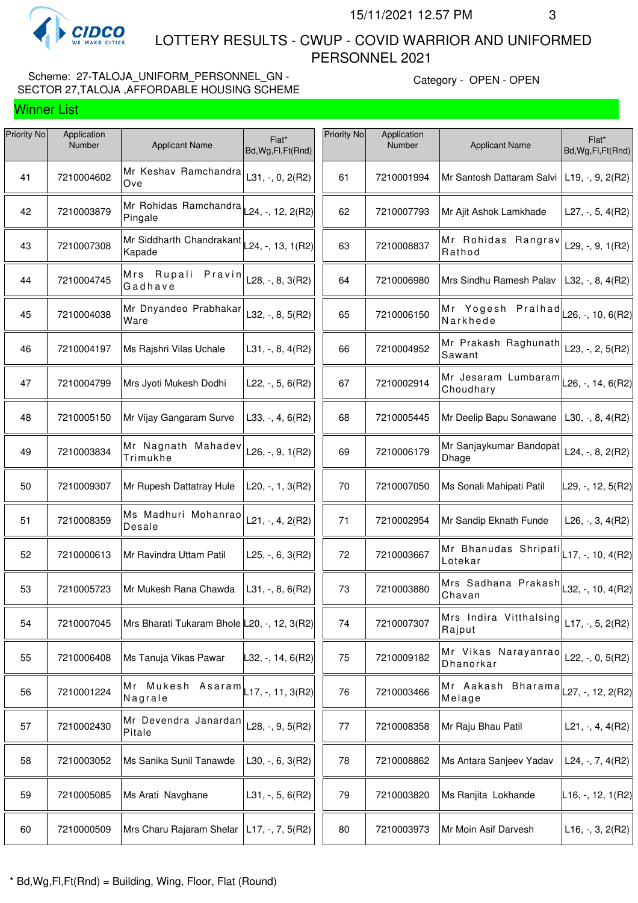

 LOTTERY RESULTS - CWUP - COVID WARRIOR AND UNIFORMED PERSONNEL 2021

# Scheme: 27-TALOJA\_UNIFORM\_PERSONNEL\_GN -SECTOR 27,TALOJA ,AFFORDABLE HOUSING SCHEME

| Priority No | Application<br>Number | <b>Applicant Name</b>                                             | Flat*<br>Bd, Wg, Fl, Ft (Rnd) | Priority No | Application<br>Number | <b>Applicant Name</b>                                                     | Flat*<br>Bd, Wg, Fl, Ft (Rnd)                                                                                         |
|-------------|-----------------------|-------------------------------------------------------------------|-------------------------------|-------------|-----------------------|---------------------------------------------------------------------------|-----------------------------------------------------------------------------------------------------------------------|
| 41          | 7210004602            | Mr Keshav Ramchandra<br>Ove                                       | $L31, -, 0, 2(R2)$            | 61          | 7210001994            | Mr Santosh Dattaram Salvi                                                 | $L19, -, 9, 2(R2)$                                                                                                    |
| 42          | 7210003879            | Mr Rohidas Ramchandra L24, -, 12, 2(R2)<br>Pingale                |                               | 62          | 7210007793            | Mr Ajit Ashok Lamkhade                                                    | L27, $-$ , 5, 4(R2)                                                                                                   |
| 43          | 7210007308            | Mr Siddharth Chandrakant L <sub>24, -</sub> , 13, 1(R2)<br>Kapade |                               | 63          | 7210008837            | Mr Rohidas Rangrav<br>Rathod                                              | L29, $-$ , 9, 1(R2)                                                                                                   |
| 44          | 7210004745            | Mrs Rupali Pravin<br>Gadhave                                      | L28, -, 8, 3(R2)              | 64          | 7210006980            | Mrs Sindhu Ramesh Palav                                                   | L32, $-$ , 8, 4(R2)                                                                                                   |
| 45          | 7210004038            | Mr Dnyandeo Prabhakar<br>Ware                                     | L32, -, 8, 5(R2)              | 65          | 7210006150            | —<br>Mr Yogesh Pralhad L26, -, 10, 6(R2)<br>Narkhede                      |                                                                                                                       |
| 46          | 7210004197            | Ms Rajshri Vilas Uchale                                           | L31, $-$ , 8, 4(R2)           | 66          | 7210004952            | Mr Prakash Raghunath<br> Sawant                                           | L23, $-$ , 2, $5(R2)$                                                                                                 |
| 47          | 7210004799            | Mrs Jyoti Mukesh Dodhi                                            | L22, $-$ , 5, 6(R2)           | 67          | 7210002914            | Mr Jesaram Lumbaram $\vert$ 26, -, 14, 6(R2)<br>Choudhary                 |                                                                                                                       |
| 48          | 7210005150            | Mr Vijay Gangaram Surve                                           | L33, $-$ , 4, 6(R2)           | 68          | 7210005445            | Mr Deelip Bapu Sonawane                                                   | L30, $-$ , 8, 4(R2)                                                                                                   |
| 49          | 7210003834            | Mr Nagnath Mahadev<br>Trimukhe                                    | L26, -, 9, 1(R2)              | 69          | 7210006179            | Mr Sanjaykumar Bandopat<br>Dhage                                          | L24, $-$ , 8, 2(R2)                                                                                                   |
| 50          | 7210009307            | Mr Rupesh Dattatray Hule                                          | L20, $-$ , 1, 3(R2)           | 70          | 7210007050            | Ms Sonali Mahipati Patil                                                  | L29, -, 12, 5(R2)                                                                                                     |
| 51          | 7210008359            | Ms Madhuri Mohanrao<br>Desale                                     | $L21, -, 4, 2(R2)$            | 71          | 7210002954            | Mr Sandip Eknath Funde                                                    | L26, $-$ , 3, 4(R2)                                                                                                   |
| 52          | 7210000613            | Mr Ravindra Uttam Patil                                           | L25, $-$ , 6, 3(R2)           | 72          | 7210003667            | Mr Bhanudas Shripati $\vert_{\text{L}17,\text{-, 10, 4(R2)}}$<br> Lotekar |                                                                                                                       |
| 53          | 7210005723            | Mr Mukesh Rana Chawda                                             | $L31, -, 8, 6(R2)$            | 73          | 7210003880            | Mrs Sadhana Prakash $\parallel$ 32, -, 10, 4(R2)<br>Chavan                |                                                                                                                       |
| 54          | 7210007045            | Mrs Bharati Tukaram Bhole L20, -, 12, 3(R2)                       |                               | 74          | 7210007307            | Mrs Indira Vitthalsing<br>Rajput                                          | $L17, -5, 2(R2)$                                                                                                      |
| 55          | 7210006408            | Ms Tanuja Vikas Pawar                                             | $L32, -14, 6(R2)$             | 75          | 7210009182            | Mr Vikas Narayanrao<br>Dhanorkar                                          | L22, $-$ , 0, 5(R2)                                                                                                   |
| 56          | 7210001224            | Mr Mukesh<br>Asaram<br>Nagrale                                    | $-17, -11, 3(R2)$             | 76          | 7210003466            | Mr Aakash Bharama<br>Melage                                               | $\textcolor{blue}{\mathsf{L}27}, \textcolor{blue}{\mathsf{-}}, \textcolor{blue}{12}, 2(\textcolor{red}{\mathsf{R}2})$ |
| 57          | 7210002430            | Mr Devendra Janardan<br>Pitale                                    | L28, $-$ , 9, 5(R2)           | 77          | 7210008358            | Mr Raju Bhau Patil                                                        | L21, $-$ , 4, 4(R2)                                                                                                   |
| 58          | 7210003052            | Ms Sanika Sunil Tanawde                                           | L30, $-$ , 6, 3(R2)           | 78          | 7210008862            | Ms Antara Sanjeev Yadav                                                   | L24, $-$ , 7, 4(R2)                                                                                                   |
| 59          | 7210005085            | Ms Arati Navghane                                                 | L31, $-$ , 5, 6(R2)           | 79          | 7210003820            | Ms Ranjita Lokhande                                                       | L16, -, 12, 1(R2)                                                                                                     |
| 60          | 7210000509            | Mrs Charu Rajaram Shelar                                          | $L17, -7, 5(R2)$              | 80          | 7210003973            | Mr Moin Asif Darvesh                                                      | $L16, -3, 2(R2)$                                                                                                      |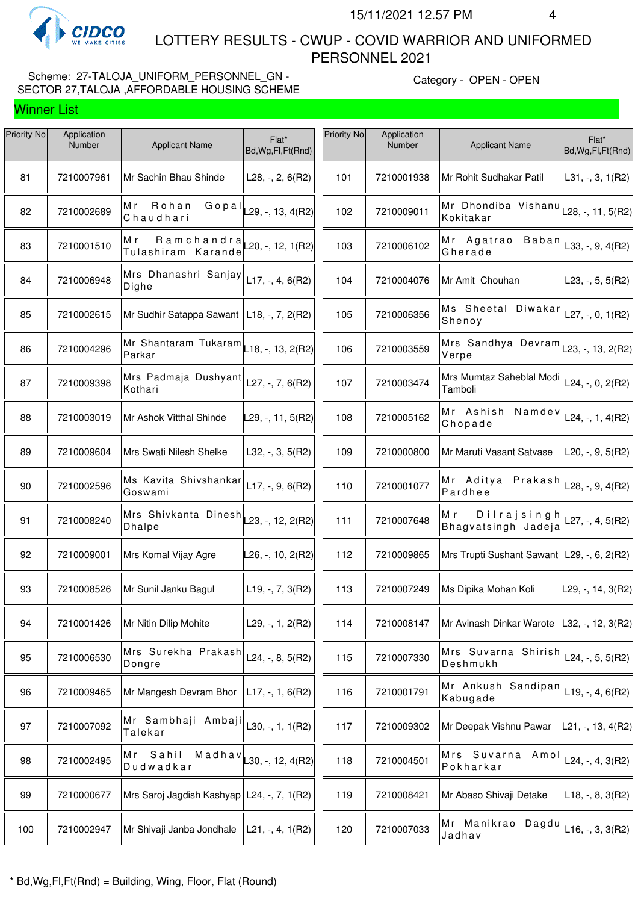

 LOTTERY RESULTS - CWUP - COVID WARRIOR AND UNIFORMED PERSONNEL 2021

# Scheme: 27-TALOJA\_UNIFORM\_PERSONNEL\_GN -SECTOR 27,TALOJA ,AFFORDABLE HOUSING SCHEME

| Priority No | Application<br>Number | <b>Applicant Name</b>                        | Flat*<br>Bd, Wg, Fl, Ft (Rnd) | Priority No | Application<br>Number | <b>Applicant Name</b>                                | Flat*<br>Bd, Wg, Fl, Ft (Rnd) |
|-------------|-----------------------|----------------------------------------------|-------------------------------|-------------|-----------------------|------------------------------------------------------|-------------------------------|
| 81          | 7210007961            | Mr Sachin Bhau Shinde                        | L28, $-$ , 2, $6(R2)$         | 101         | 7210001938            | Mr Rohit Sudhakar Patil                              | $L31, -3, 1(R2)$              |
| 82          | 7210002689            | Rohan<br>Gopal<br>Mr<br>Chaudhari            | L29, -, 13, 4(R2)             | 102         | 7210009011            | Mr Dhondiba Vishanu<br>Kokitakar                     | L28, -, 11, 5(R2)             |
| 83          | 7210001510            | Ramchandra<br>Мr<br>Tulashiram Karande       | $20, -12, 1(R2)$              | 103         | 7210006102            | Mr Agatrao Baban<br>Gherade                          | L33, $-$ , 9, 4(R2)           |
| 84          | 7210006948            | Mrs Dhanashri Sanjay<br>Dighe                | $L17, -, 4, 6(R2)$            | 104         | 7210004076            | Mr Amit Chouhan                                      | L23, $-$ , 5, 5(R2)           |
| 85          | 7210002615            | Mr Sudhir Satappa Sawant   L18, -, 7, 2(R2)  |                               | 105         | 7210006356            | Ms Sheetal Diwakar<br>Shenoy                         | L27, $-$ , 0, 1(R2)           |
| 86          | 7210004296            | Mr Shantaram Tukaram<br>Parkar               | $ L18, -, 13, 2(R2) $         | 106         | 7210003559            | Mrs Sandhya Devram $\vert$ 23, -, 13, 2(R2)<br>Verpe |                               |
| 87          | 7210009398            | Mrs Padmaja Dushyant<br>Kothari              | L27, -, 7, $6(R2)$            | 107         | 7210003474            | Mrs Mumtaz Saheblal Modi<br>Tamboli                  | L24, $-$ , 0, 2(R2)           |
| 88          | 7210003019            | Mr Ashok Vitthal Shinde                      | L29, -, 11, 5(R2)             | 108         | 7210005162            | Mr Ashish<br>Namdev<br>Chopade                       | L24, $-$ , 1, 4(R2)           |
| 89          | 7210009604            | Mrs Swati Nilesh Shelke                      | L32, -, 3, 5(R2)              | 109         | 7210000800            | Mr Maruti Vasant Satvase                             | L20, $-$ , 9, 5(R2)           |
| 90          | 7210002596            | Ms Kavita Shivshankar<br>Goswami             | $L17, -, 9, 6(R2)$            | 110         | 7210001077            | Mr Aditya Prakash<br>Pardhee                         | L28, $-$ , 9, 4(R2)           |
| 91          | 7210008240            | Mrs Shivkanta Dinesh<br><b>Dhalpe</b>        | L23, -, 12, 2(R2)             | 111         | 7210007648            | Dilrajsingh<br>M r<br>Bhagvatsingh Jadeja            | L27, -, 4, $5(R2)$            |
| 92          | 7210009001            | Mrs Komal Vijay Agre                         | L26, -, 10, 2(R2)             | 112         | 7210009865            | Mrs Trupti Sushant Sawant   L29, -, 6, 2(R2)         |                               |
| 93          | 7210008526            | Mr Sunil Janku Bagul                         | $L19, -7, 3(R2)$              | 113         | 7210007249            | Ms Dipika Mohan Koli                                 | L29, -, 14, 3(R2)             |
| 94          | 7210001426            | Mr Nitin Dilip Mohite                        | L29, $-$ , 1, 2(R2)           | 114         | 7210008147            | Mr Avinash Dinkar Warote                             | $L32, -12, 3(R2)$             |
| 95          | 7210006530            | Mrs Surekha Prakash<br>Dongre                | L24, $-$ , 8, 5(R2)           | 115         | 7210007330            | Mrs Suvarna Shirish<br>Deshmukh                      | L24, -, 5, 5(R2)              |
| 96          | 7210009465            | Mr Mangesh Devram Bhor                       | $L17, -1, 6(R2)$              | 116         | 7210001791            | Mr Ankush Sandipan<br>Kabugade                       | $L19, -, 4, 6(R2)$            |
| 97          | 7210007092            | Mr Sambhaji Ambaji<br>Talekar                | L30, $-$ , 1, 1(R2)           | 117         | 7210009302            | Mr Deepak Vishnu Pawar                               | L21, -, 13, 4(R2)             |
| 98          | 7210002495            | Sahil<br>Madhav<br>Mr<br>Dudwadkar           | $\vert$ L30, -, 12, 4(R2)     | 118         | 7210004501            | Mrs Suvarna Amol<br>Pokharkar                        | L24, -, 4, 3(R2)              |
| 99          | 7210000677            | Mrs Saroj Jagdish Kashyap   L24, -, 7, 1(R2) |                               | 119         | 7210008421            | Mr Abaso Shivaji Detake                              | $L18, -, 8, 3(R2)$            |
| 100         | 7210002947            | Mr Shivaji Janba Jondhale                    | $L21, -, 4, 1(R2)$            | 120         | 7210007033            | Mr Manikrao Dagdu<br>Jadhav                          | $L16, -, 3, 3(R2)$            |
|             |                       |                                              |                               |             |                       |                                                      |                               |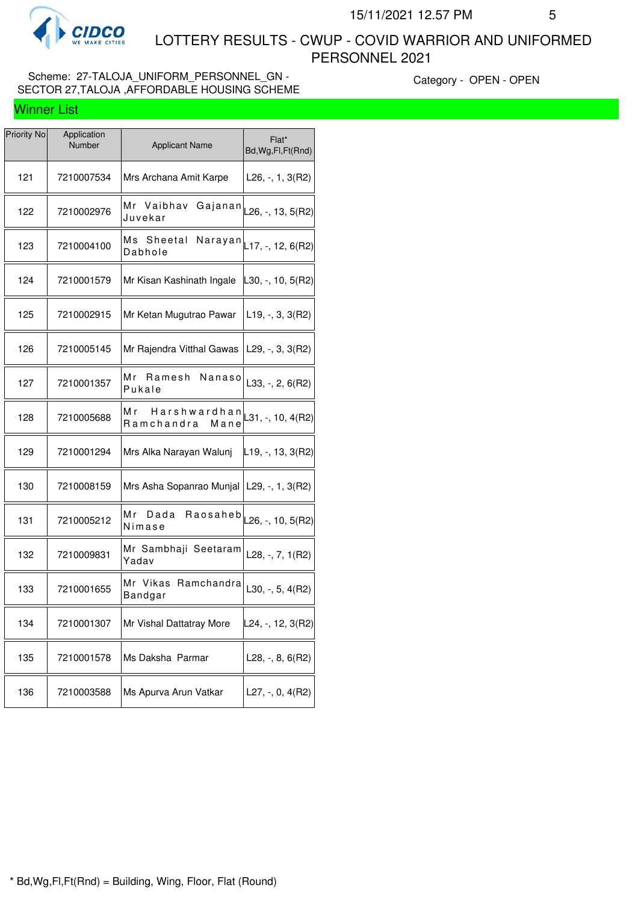

 LOTTERY RESULTS - CWUP - COVID WARRIOR AND UNIFORMED PERSONNEL 2021

### Scheme: 27-TALOJA\_UNIFORM\_PERSONNEL\_GN -SECTOR 27,TALOJA ,AFFORDABLE HOUSING SCHEME

| <b>Priority No</b> | Application<br>Number | <b>Applicant Name</b>                       | Flat*<br>Bd, Wg, Fl, Ft (Rnd) |
|--------------------|-----------------------|---------------------------------------------|-------------------------------|
| 121                | 7210007534            | Mrs Archana Amit Karpe                      | L26, -, 1, 3(R2)              |
| 122                | 7210002976            | Mr Vaibhav<br>Gajanan<br>Juvekar            | L26, -, 13, $5(R2)$           |
| 123                | 7210004100            | Ms Sheetal<br>Dabhole                       | Narayan $L$ 17, -, 12, 6(R2)  |
| 124                | 7210001579            | Mr Kisan Kashinath Ingale                   | L30, -, 10, 5(R2)             |
| 125                | 7210002915            | Mr Ketan Mugutrao Pawar                     | $L19, -3, 3(R2)$              |
| 126                | 7210005145            | Mr Rajendra Vitthal Gawas                   | L29, $-$ , 3, 3(R2)           |
| 127                | 7210001357            | Мr<br>Ramesh<br>Nanaso<br>Pukale            | $L33, -2, 6(R2)$              |
| 128                | 7210005688            | M r<br>Harshwardhan<br>Ramchandra<br>Mane   | L31, -, 10, 4(R2)             |
| 129                | 7210001294            | Mrs Alka Narayan Walunj                     | L19, -, 13, 3(R2)             |
| 130                | 7210008159            | Mrs Asha Sopanrao Munjal   L29, -, 1, 3(R2) |                               |
| 131                | 7210005212            | Мr<br>Dada<br>Raosaheb<br>Nimase            | L26, -, 10, 5(R2)             |
| 132                | 7210009831            | Mr Sambhaji Seetaram<br>Yadav               | L28, -, 7, 1(R2)              |
| 133                | 7210001655            | Ramchandra<br>Mr Vikas<br>Bandgar           | L30, $-$ , 5, 4(R2)           |
| 134                | 7210001307            | Mr Vishal Dattatray More                    | L24, -, 12, 3(R2)             |
| 135                | 7210001578            | Ms Daksha Parmar                            | L28, -, 8, 6(R2)              |
| 136                | 7210003588            | Ms Apurva Arun Vatkar                       | L27, $-$ , 0, 4(R2)           |
|                    |                       |                                             |                               |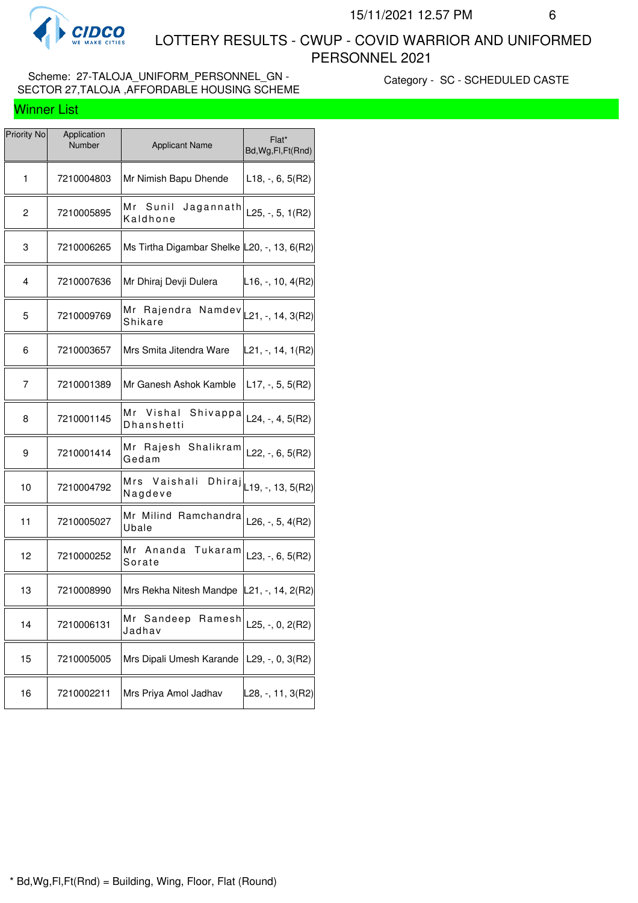

 LOTTERY RESULTS - CWUP - COVID WARRIOR AND UNIFORMED PERSONNEL 2021

# Scheme: 27-TALOJA\_UNIFORM\_PERSONNEL\_GN -SECTOR 27,TALOJA ,AFFORDABLE HOUSING SCHEME

Category - SC - SCHEDULED CASTE

| Priority No | Application<br>Number | <b>Applicant Name</b>                       | Flat*<br>Bd, Wg, Fl, Ft (Rnd)                |
|-------------|-----------------------|---------------------------------------------|----------------------------------------------|
| 1           | 7210004803            | Mr Nimish Bapu Dhende                       | $L18, -, 6, 5(R2)$                           |
| 2           | 7210005895            | Мr<br>Sunil<br>Jagannath<br>Kaldhone        | L25, $-$ , 5, 1(R2)                          |
| 3           | 7210006265            | Ms Tirtha Digambar Shelke L20, -, 13, 6(R2) |                                              |
| 4           | 7210007636            | Mr Dhiraj Devji Dulera                      | $ L16, -, 10, 4(R2) $                        |
| 5           | 7210009769            | Mr Rajendra Namdev<br>Shikare               | $ L21, -, 14, 3(R2) $                        |
| 6           | 7210003657            | Mrs Smita Jitendra Ware                     | L21, -, 14, 1(R2)                            |
| 7           | 7210001389            | Mr Ganesh Ashok Kamble                      | L17, $-$ , 5, 5(R2)                          |
| 8           | 7210001145            | Mr Vishal<br>Shivappa<br>Dhanshetti         | L24, $-$ , 4, 5(R2)                          |
| 9           | 7210001414            | Mr Rajesh<br>Shalikram<br>Gedam             | L22, $-$ , 6, 5(R2)                          |
| 10          | 7210004792            | Mrs Vaishali<br>Nagdeve                     | $\text{Dhiraj}$ <sub>L19, -, 13, 5(R2)</sub> |
| 11          | 7210005027            | Mr Milind Ramchandra<br>Ubale               | L26, $-$ , 5, 4(R2)                          |
| 12          | 7210000252            | Mr Ananda Tukaram<br>Sorate                 | L23, $-$ , 6, 5(R2)                          |
| 13          | 7210008990            | Mrs Rekha Nitesh Mandpe   L21, -, 14, 2(R2) |                                              |
| 14          | 7210006131            | Mr Sandeep Ramesh<br>Jadhav                 | $L25, -, 0, 2(R2)$                           |
| 15          | 7210005005            | Mrs Dipali Umesh Karande                    | L29, $-$ , 0, 3(R2)                          |
| 16          | 7210002211            | Mrs Priya Amol Jadhav                       | L28, -, 11, 3(R2)                            |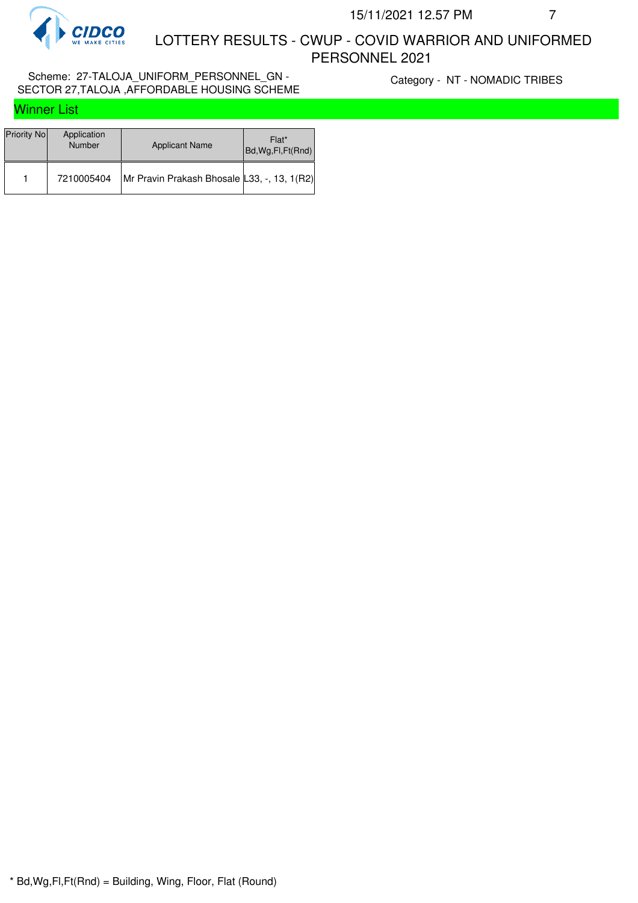

 LOTTERY RESULTS - CWUP - COVID WARRIOR AND UNIFORMED PERSONNEL 2021

### Scheme: 27-TALOJA\_UNIFORM\_PERSONNEL\_GN - SECTOR 27,TALOJA ,AFFORDABLE HOUSING SCHEME

Category - NT - NOMADIC TRIBES

| <b>Winner List</b> |  |
|--------------------|--|
|                    |  |

| Priority No | Application<br><b>Number</b> | <b>Applicant Name</b>                       | Flat*<br>Bd, Wg, Fl, Ft (Rnd) |
|-------------|------------------------------|---------------------------------------------|-------------------------------|
|             | 7210005404                   | Mr Pravin Prakash Bhosale L33, -, 13, 1(R2) |                               |